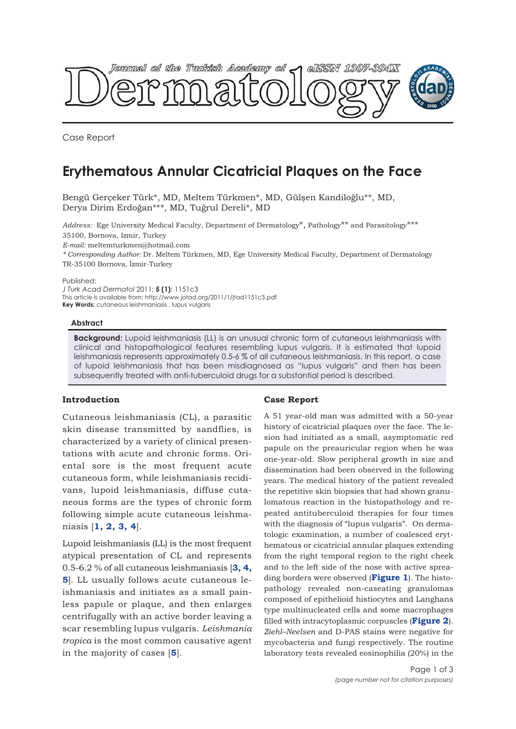

Case Report

# **Erythematous Annular Cicatricial Plaques on the Face**

Bengü Gerçeker Türk\*, MD, Meltem Türkmen\*, MD, Gülşen Kandiloğlu\*\*, MD, Derya Dirim Erdoğan\*\*\*, MD, Tuğrul Dereli\*, MD

*Address:* Ege University Medical Faculty, Department of Dermatology\*, Pathology\*\* and Parasitology\*\*\* 35100, Bornova, Izmir, Turkey *E-mail:* meltemturkmen@hotmail.com *\* Corresponding Author:* Dr. Meltem Türkmen, MD, Ege University Medical Faculty, Department of Dermatology TR-35100 Bornova, İzmir-Turkey

Published:

*J Turk Acad Dermatol* 2011; **5 (1)**: 1151c3 This article is available from: http://www.jotad.org/2011/1/jtad1151c3.pdf **Key Words:** cutaneous leishmaniasis , lupus vulgaris

#### **Abstract**

**Background:** Lupoid leishmaniasis (LL) is an unusual chronic form of cutaneous leishmaniasis with clinical and histopathological features resembling lupus vulgaris. It is estimated that lupoid leishmaniasis represents approximately 0.5-6 % of all cutaneous leishmaniasis. In this report, a case of lupoid leishmaniasis that has been misdiagnosed as "lupus vulgaris" and then has been subsequently treated with anti-tuberculoid drugs for a substantial period is described.

### **Introduction**

Cutaneous leishmaniasis (CL), a parasitic skin disease transmitted by sandflies, is characterized by a variety of clinical presentations with acute and chronic forms. Oriental sore is the most frequent acute cutaneous form, while leishmaniasis recidivans, lupoid leishmaniasis, diffuse cutaneous forms are the types of chronic form following simple acute cutaneous leishmaniasis [**1, 2, 3, 4**].

Lupoid leishmaniasis (LL) is the most frequent atypical presentation of CL and represents 0.5-6.2 % of all cutaneous leishmaniasis [**3, 4, 5**]. LL usually follows acute cutaneous leishmaniasis and initiates as a small painless papule or plaque, and then enlarges centrifugally with an active border leaving a scar resembling lupus vulgaris. *Leishmania tropica* is the most common causative agent in the majority of cases [**5**].

### **Case Report**

A 51 year-old man was admitted with a 50-year history of cicatricial plaques over the face. The lesion had initiated as a small, asymptomatic red papule on the preauricular region when he was one-year-old. Slow peripheral growth in size and dissemination had been observed in the following years. The medical history of the patient revealed the repetitive skin biopsies that had shown granulomatous reaction in the histopathology and repeated antituberculoid therapies for four times with the diagnosis of "lupus vulgaris". On dermatologic examination, a number of coalesced erythematous or cicatricial annular plaques extending from the right temporal region to the right cheek and to the left side of the nose with active spreading borders were observed (**Figure 1**). The histopathology revealed non-caseating granulomas composed of epithelioid histiocytes and Langhans type multinucleated cells and some macrophages filled with intracytoplasmic corpuscles (**Figure 2**). *Ziehl–Neelsen* and D-PAS stains were negative for mycobacteria and fungi respectively. The routine laboratory tests revealed eosinophilia (20%) in the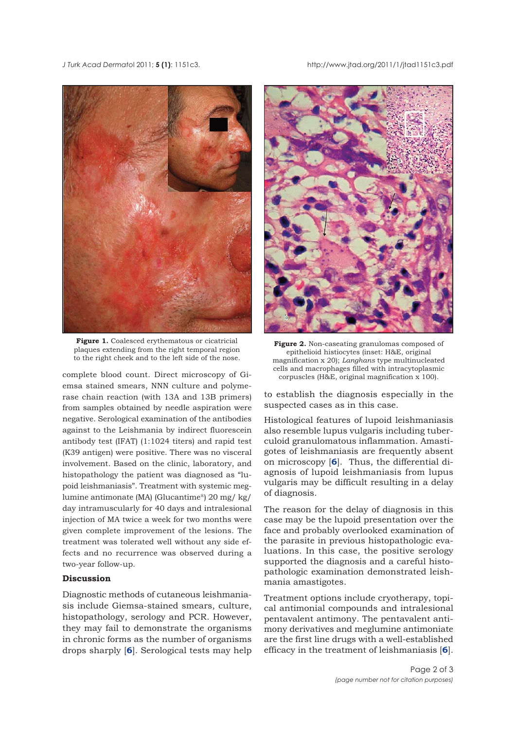*J Turk Acad Dermato*l 2011; **5 (1)**: 1151c3. http://www.jtad.org/2011/1/jtad1151c3.pdf



**Figure 1.** Coalesced erythematous or cicatricial plaques extending from the right temporal region to the right cheek and to the left side of the nose.

complete blood count. Direct microscopy of Giemsa stained smears, NNN culture and polymerase chain reaction (with 13A and 13B primers) from samples obtained by needle aspiration were negative. Serological examination of the antibodies against to the Leishmania by indirect fluorescein antibody test (IFAT) (1:1024 titers) and rapid test (K39 antigen) were positive. There was no visceral involvement. Based on the clinic, laboratory, and histopathology the patient was diagnosed as "lupoid leishmaniasis". Treatment with systemic meglumine antimonate (MA) (Glucantime®) 20 mg/ kg/ day intramuscularly for 40 days and intralesional injection of MA twice a week for two months were given complete improvement of the lesions. The treatment was tolerated well without any side effects and no recurrence was observed during a two-year follow-up.

## **Discussion**

Diagnostic methods of cutaneous leishmaniasis include Giemsa-stained smears, culture, histopathology, serology and PCR. However, they may fail to demonstrate the organisms in chronic forms as the number of organisms drops sharply [**6**]. Serological tests may help



**Figure 2.** Non-caseating granulomas composed of epithelioid histiocytes (inset: H&E, original magnification x 20); *Langhans* type multinucleated cells and macrophages filled with intracytoplasmic corpuscles (H&E, original magnification x 100).

to establish the diagnosis especially in the suspected cases as in this case.

Histological features of lupoid leishmaniasis also resemble lupus vulgaris including tuberculoid granulomatous inflammation. Amastigotes of leishmaniasis are frequently absent on microscopy [**6**]. Thus, the differential diagnosis of lupoid leishmaniasis from lupus vulgaris may be difficult resulting in a delay of diagnosis.

The reason for the delay of diagnosis in this case may be the lupoid presentation over the face and probably overlooked examination of the parasite in previous histopathologic evaluations. In this case, the positive serology supported the diagnosis and a careful histopathologic examination demonstrated leishmania amastigotes.

Treatment options include cryotherapy, topical antimonial compounds and intralesional pentavalent antimony. The pentavalent antimony derivatives and meglumine antimoniate are the first line drugs with a well-established efficacy in the treatment of leishmaniasis [**6**].